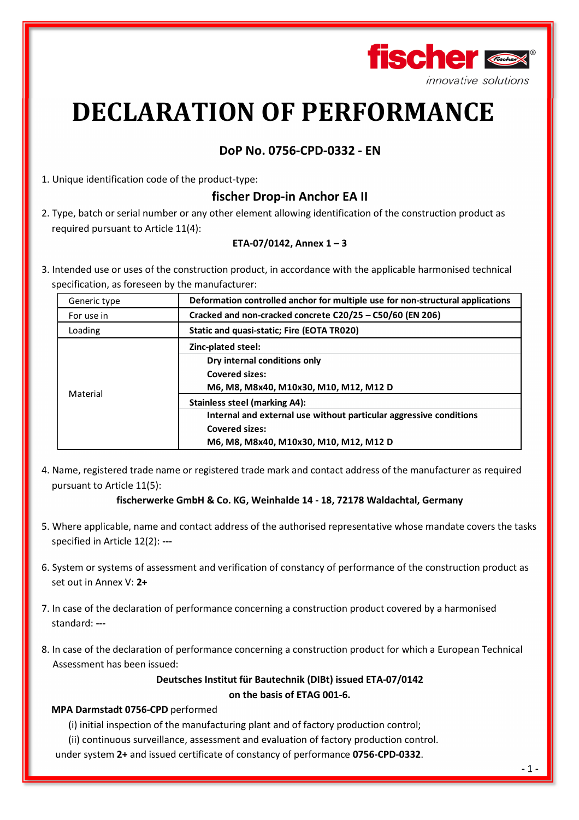

# **DECLARATION OF PERFORMANCE**

# **DoP No. 0756-CPD-0332 - EN**

1. Unique identification code of the product-type:

# **fischer Drop-in Anchor EA II**

2. Type, batch or serial number or any other element allowing identification of the construction product as required pursuant to Article 11(4):

## **ETA-07/0142, Annex 1 – 3**

3. Intended use or uses of the construction product, in accordance with the applicable harmonised technical specification, as foreseen by the manufacturer:

| Generic type | Deformation controlled anchor for multiple use for non-structural applications                                                                                                                                                      |  |  |
|--------------|-------------------------------------------------------------------------------------------------------------------------------------------------------------------------------------------------------------------------------------|--|--|
| For use in   | Cracked and non-cracked concrete C20/25 - C50/60 (EN 206)                                                                                                                                                                           |  |  |
| Loading      | Static and quasi-static; Fire (EOTA TR020)                                                                                                                                                                                          |  |  |
| Material     | Zinc-plated steel:<br>Dry internal conditions only<br><b>Covered sizes:</b><br>M6, M8, M8x40, M10x30, M10, M12, M12 D<br><b>Stainless steel (marking A4):</b><br>Internal and external use without particular aggressive conditions |  |  |
|              | <b>Covered sizes:</b><br>M6, M8, M8x40, M10x30, M10, M12, M12 D                                                                                                                                                                     |  |  |

4. Name, registered trade name or registered trade mark and contact address of the manufacturer as required pursuant to Article 11(5):

### **fischerwerke GmbH & Co. KG, Weinhalde 14 - 18, 72178 Waldachtal, Germany**

- 5. Where applicable, name and contact address of the authorised representative whose mandate covers the tasks specified in Article 12(2): **---**
- 6. System or systems of assessment and verification of constancy of performance of the construction product as set out in Annex V: **2+**
- 7. In case of the declaration of performance concerning a construction product covered by a harmonised standard: **---**
- 8. In case of the declaration of performance concerning a construction product for which a European Technical Assessment has been issued:

**Deutsches Institut für Bautechnik (DIBt) issued ETA-07/0142 on the basis of ETAG 001-6.** 

### **MPA Darmstadt 0756-CPD** performed

(i) initial inspection of the manufacturing plant and of factory production control;

(ii) continuous surveillance, assessment and evaluation of factory production control.

under system **2+** and issued certificate of constancy of performance **0756-CPD-0332**.